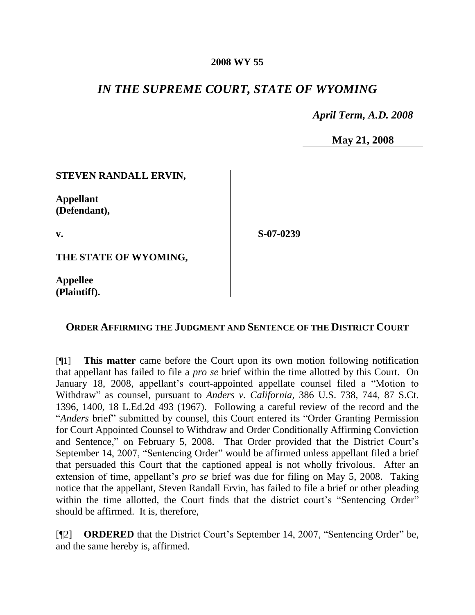#### **2008 WY 55**

# *IN THE SUPREME COURT, STATE OF WYOMING*

*April Term, A.D. 2008*

**May 21, 2008**

### **STEVEN RANDALL ERVIN,**

**Appellant (Defendant),**

**v.**

**S-07-0239**

**THE STATE OF WYOMING,**

**Appellee (Plaintiff).**

### **ORDER AFFIRMING THE JUDGMENT AND SENTENCE OF THE DISTRICT COURT**

[¶1] **This matter** came before the Court upon its own motion following notification that appellant has failed to file a *pro se* brief within the time allotted by this Court. On January 18, 2008, appellant's court-appointed appellate counsel filed a "Motion to Withdraw" as counsel, pursuant to *Anders v. California*, 386 U.S. 738, 744, 87 S.Ct. 1396, 1400, 18 L.Ed.2d 493 (1967). Following a careful review of the record and the "*Anders* brief" submitted by counsel, this Court entered its "Order Granting Permission for Court Appointed Counsel to Withdraw and Order Conditionally Affirming Conviction and Sentence," on February 5, 2008. That Order provided that the District Court's September 14, 2007, "Sentencing Order" would be affirmed unless appellant filed a brief that persuaded this Court that the captioned appeal is not wholly frivolous. After an extension of time, appellant's *pro se* brief was due for filing on May 5, 2008. Taking notice that the appellant, Steven Randall Ervin, has failed to file a brief or other pleading within the time allotted, the Court finds that the district court's "Sentencing Order" should be affirmed. It is, therefore,

[¶2] **ORDERED** that the District Court's September 14, 2007, "Sentencing Order" be, and the same hereby is, affirmed.